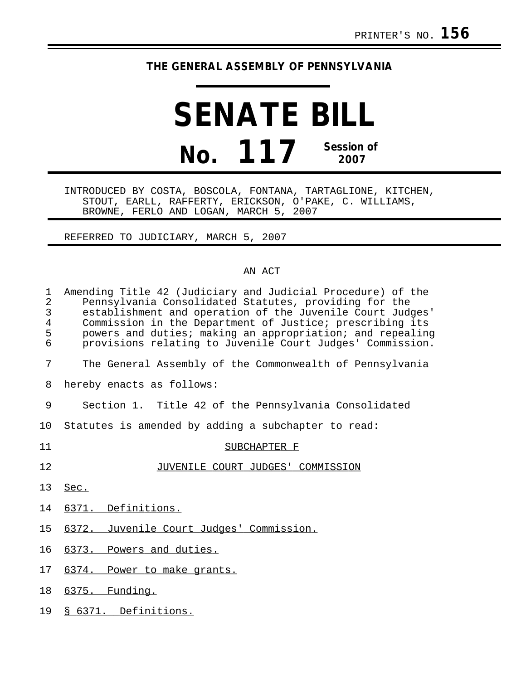## **THE GENERAL ASSEMBLY OF PENNSYLVANIA**

## **SENATE BILL No. 117 Session of 2007**

INTRODUCED BY COSTA, BOSCOLA, FONTANA, TARTAGLIONE, KITCHEN, STOUT, EARLL, RAFFERTY, ERICKSON, O'PAKE, C. WILLIAMS, BROWNE, FERLO AND LOGAN, MARCH 5, 2007

REFERRED TO JUDICIARY, MARCH 5, 2007

## AN ACT

| 1<br>$\overline{2}$<br>3<br>$\overline{4}$<br>5<br>6 | Amending Title 42 (Judiciary and Judicial Procedure) of the<br>Pennsylvania Consolidated Statutes, providing for the<br>establishment and operation of the Juvenile Court Judges'<br>Commission in the Department of Justice; prescribing its<br>powers and duties; making an appropriation; and repealing<br>provisions relating to Juvenile Court Judges' Commission. |
|------------------------------------------------------|-------------------------------------------------------------------------------------------------------------------------------------------------------------------------------------------------------------------------------------------------------------------------------------------------------------------------------------------------------------------------|
| 7                                                    | The General Assembly of the Commonwealth of Pennsylvania                                                                                                                                                                                                                                                                                                                |
| 8                                                    | hereby enacts as follows:                                                                                                                                                                                                                                                                                                                                               |
| 9                                                    | Section 1. Title 42 of the Pennsylvania Consolidated                                                                                                                                                                                                                                                                                                                    |
| 10                                                   | Statutes is amended by adding a subchapter to read:                                                                                                                                                                                                                                                                                                                     |
| 11                                                   | SUBCHAPTER F                                                                                                                                                                                                                                                                                                                                                            |
| 12                                                   | JUVENILE COURT JUDGES' COMMISSION                                                                                                                                                                                                                                                                                                                                       |
| 13                                                   | Sec.                                                                                                                                                                                                                                                                                                                                                                    |
| 14                                                   | 6371. Definitions.                                                                                                                                                                                                                                                                                                                                                      |
| 15                                                   | 6372. Juvenile Court Judges' Commission.                                                                                                                                                                                                                                                                                                                                |
| 16                                                   | 6373. Powers and duties.                                                                                                                                                                                                                                                                                                                                                |
| 17                                                   | 6374. Power to make grants.                                                                                                                                                                                                                                                                                                                                             |
| 18                                                   | 6375. Funding.                                                                                                                                                                                                                                                                                                                                                          |
| 19                                                   | § 6371. Definitions.                                                                                                                                                                                                                                                                                                                                                    |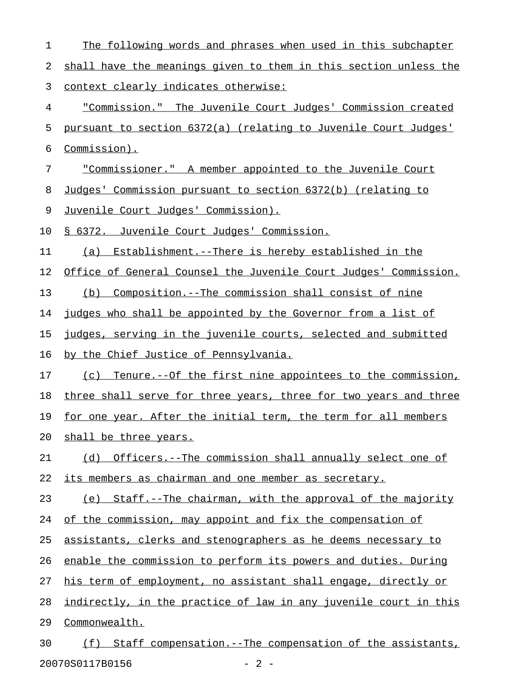| 1  | The following words and phrases when used in this subchapter     |
|----|------------------------------------------------------------------|
| 2  | shall have the meanings given to them in this section unless the |
| 3  | <u>context clearly indicates otherwise:</u>                      |
| 4  | "Commission." The Juvenile Court Judges' Commission created      |
| 5  | pursuant to section 6372(a) (relating to Juvenile Court Judges'  |
| 6  | Commission).                                                     |
| 7  | "Commissioner." A member appointed to the Juvenile Court         |
| 8  | Judges' Commission pursuant to section 6372(b) (relating to      |
| 9  | <u>Juvenile Court Judges' Commission).</u>                       |
| 10 | § 6372. Juvenile Court Judges' Commission.                       |
| 11 | Establishment.--There is hereby established in the<br>(a)        |
| 12 | Office of General Counsel the Juvenile Court Judges' Commission. |
| 13 | (b) Composition.--The commission shall consist of nine           |
| 14 | judges who shall be appointed by the Governor from a list of     |
| 15 | judges, serving in the juvenile courts, selected and submitted   |
| 16 | by the Chief Justice of Pennsylvania.                            |
| 17 | (c) Tenure.--Of the first nine appointees to the commission,     |
| 18 | three shall serve for three years, three for two years and three |
| 19 | for one year. After the initial term, the term for all members   |
| 20 | shall be three years.                                            |
| 21 | (d) Officers.--The commission shall annually select one of       |
| 22 | its members as chairman and one member as secretary.             |
| 23 | (e) Staff.--The chairman, with the approval of the majority      |
| 24 | of the commission, may appoint and fix the compensation of       |
| 25 | assistants, clerks and stenographers as he deems necessary to    |
| 26 | enable the commission to perform its powers and duties. During   |
| 27 | his term of employment, no assistant shall engage, directly or   |
| 28 | indirectly, in the practice of law in any juvenile court in this |
| 29 | Commonwealth.                                                    |
| 30 | Staff compensation.--The compensation of the assistants,<br>(f)  |

20070S0117B0156 - 2 -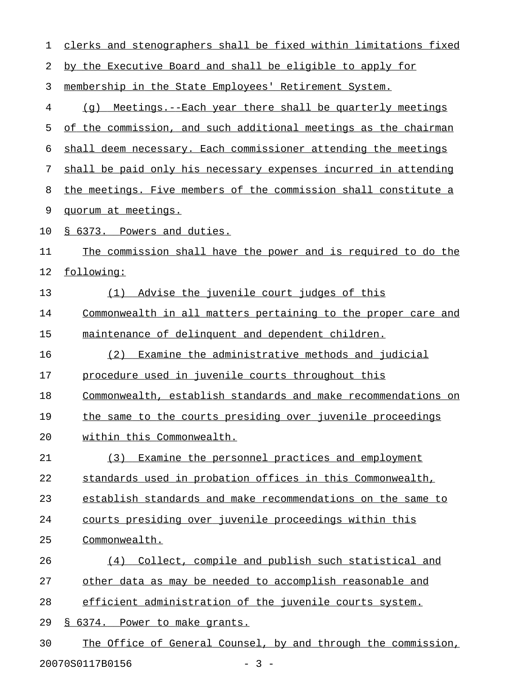| 1  | clerks and stenographers shall be fixed within limitations fixed |  |  |
|----|------------------------------------------------------------------|--|--|
| 2  | by the Executive Board and shall be eligible to apply for        |  |  |
| 3  | membership in the State Employees' Retirement System.            |  |  |
| 4  | Meetings.--Each year there shall be quarterly meetings<br>(q)    |  |  |
| 5  | of the commission, and such additional meetings as the chairman  |  |  |
| 6  | shall deem necessary. Each commissioner attending the meetings   |  |  |
| 7  | shall be paid only his necessary expenses incurred in attending  |  |  |
| 8  | the meetings. Five members of the commission shall constitute a  |  |  |
| 9  | quorum at meetings.                                              |  |  |
| 10 | § 6373. Powers and duties.                                       |  |  |
| 11 | The commission shall have the power and is required to do the    |  |  |
| 12 | following:                                                       |  |  |
| 13 | Advise the juvenile court judges of this<br>(1)                  |  |  |
| 14 | Commonwealth in all matters pertaining to the proper care and    |  |  |
| 15 | maintenance of delinquent and dependent children.                |  |  |
| 16 | Examine the administrative methods and judicial<br>(2)           |  |  |
| 17 | procedure used in juvenile courts throughout this                |  |  |
| 18 | Commonwealth, establish standards and make recommendations on    |  |  |
| 19 | the same to the courts presiding over juvenile proceedings       |  |  |
| 20 | within this Commonwealth.                                        |  |  |
| 21 | (3) Examine the personnel practices and employment               |  |  |
| 22 | standards used in probation offices in this Commonwealth,        |  |  |
| 23 | establish standards and make recommendations on the same to      |  |  |
| 24 | courts presiding over juvenile proceedings within this           |  |  |
| 25 | Commonwealth.                                                    |  |  |
| 26 | (4) Collect, compile and publish such statistical and            |  |  |
| 27 | other data as may be needed to accomplish reasonable and         |  |  |
| 28 | efficient administration of the juvenile courts system.          |  |  |
| 29 | § 6374. Power to make grants.                                    |  |  |
| 30 | The Office of General Counsel, by and through the commission,    |  |  |
|    | 20070S0117B0156<br>$-3 -$                                        |  |  |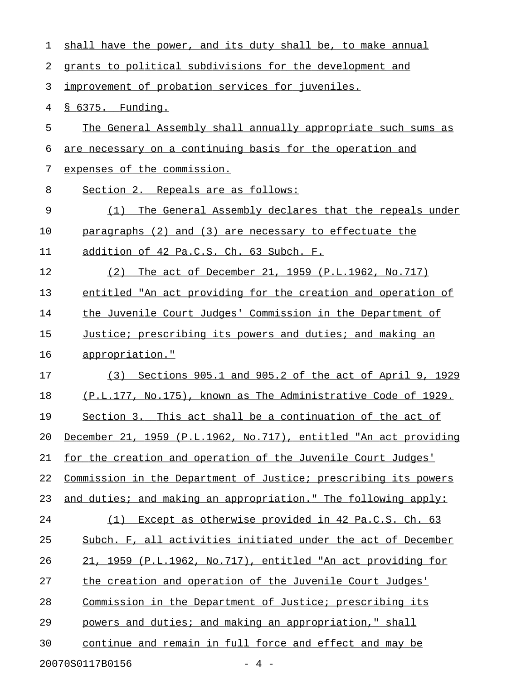| 1  | shall have the power, and its duty shall be, to make annual      |
|----|------------------------------------------------------------------|
| 2  | grants to political subdivisions for the development and         |
| 3  | improvement of probation services for juveniles.                 |
| 4  | § 6375. Funding.                                                 |
| 5  | The General Assembly shall annually appropriate such sums as     |
| 6  | are necessary on a continuing basis for the operation and        |
| 7  | expenses of the commission.                                      |
| 8  | Section 2. Repeals are as follows:                               |
| 9  | The General Assembly declares that the repeals under<br>(1)      |
| 10 | paragraphs $(2)$ and $(3)$ are necessary to effectuate the       |
| 11 | addition of 42 Pa.C.S. Ch. 63 Subch. F.                          |
| 12 | The act of December 21, 1959 (P.L.1962, No.717)<br>(2)           |
| 13 | entitled "An act providing for the creation and operation of     |
| 14 | the Juvenile Court Judges' Commission in the Department of       |
| 15 | Justice; prescribing its powers and duties; and making an        |
| 16 | appropriation."                                                  |
| 17 | (3) Sections 905.1 and 905.2 of the act of April 9, 1929         |
| 18 | (P.L.177, No.175), known as The Administrative Code of 1929.     |
| 19 | Section 3. This act shall be a continuation of the act of        |
| 20 | December 21, 1959 (P.L.1962, No.717), entitled "An act providing |
| 21 | for the creation and operation of the Juvenile Court Judges'     |
| 22 | Commission in the Department of Justice; prescribing its powers  |
| 23 | and duties; and making an appropriation." The following apply:   |
| 24 | (1) Except as otherwise provided in 42 Pa.C.S. Ch. 63            |
| 25 | Subch. F, all activities initiated under the act of December     |
| 26 | 21, 1959 (P.L.1962, No.717), entitled "An act providing for      |
| 27 | the creation and operation of the Juvenile Court Judges'         |
| 28 | Commission in the Department of Justice; prescribing its         |
| 29 | powers and duties; and making an appropriation," shall           |
| 30 | continue and remain in full force and effect and may be          |
|    | 20070S0117B0156<br>$-4 -$                                        |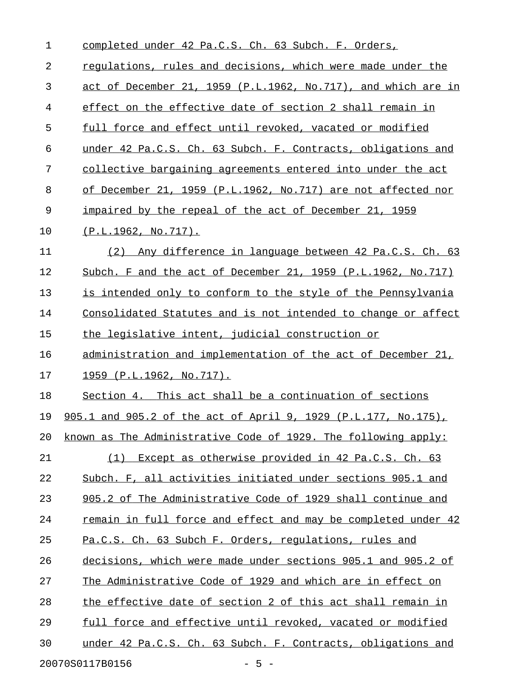| 1  | completed under 42 Pa.C.S. Ch. 63 Subch. F. Orders,            |
|----|----------------------------------------------------------------|
| 2  | requlations, rules and decisions, which were made under the    |
| 3  | act of December 21, 1959 (P.L.1962, No.717), and which are in  |
| 4  | effect on the effective date of section 2 shall remain in      |
| 5  | full force and effect until revoked, vacated or modified       |
| 6  | under 42 Pa.C.S. Ch. 63 Subch. F. Contracts, obligations and   |
| 7  | collective bargaining agreements entered into under the act    |
| 8  | of December 21, 1959 (P.L.1962, No.717) are not affected nor   |
| 9  | impaired by the repeal of the act of December 21, 1959         |
| 10 | (P.L.1962, No.717).                                            |
| 11 | Any difference in language between 42 Pa.C.S. Ch. 63<br>(2)    |
| 12 | Subch. F and the act of December 21, 1959 (P.L.1962, No.717)   |
| 13 | is intended only to conform to the style of the Pennsylvania   |
| 14 | Consolidated Statutes and is not intended to change or affect  |
| 15 | the legislative intent, judicial construction or               |
| 16 | administration and implementation of the act of December 21,   |
| 17 | 1959 (P.L.1962, No.717).                                       |
| 18 | Section 4. This act shall be a continuation of sections        |
| 19 | 905.1 and 905.2 of the act of April 9, 1929 (P.L.177, No.175), |
| 20 | known as The Administrative Code of 1929. The following apply: |
| 21 | (1) Except as otherwise provided in 42 Pa.C.S. Ch. 63          |
| 22 | Subch. F, all activities initiated under sections 905.1 and    |
| 23 | 905.2 of The Administrative Code of 1929 shall continue and    |
| 24 | remain in full force and effect and may be completed under 42  |
| 25 | Pa.C.S. Ch. 63 Subch F. Orders, regulations, rules and         |
| 26 | decisions, which were made under sections 905.1 and 905.2 of   |
| 27 | The Administrative Code of 1929 and which are in effect on     |
| 28 | the effective date of section 2 of this act shall remain in    |
| 29 | full force and effective until revoked, vacated or modified    |
| 30 | under 42 Pa.C.S. Ch. 63 Subch. F. Contracts, obligations and   |
|    | 20070S0117B0156<br>$-5 -$                                      |